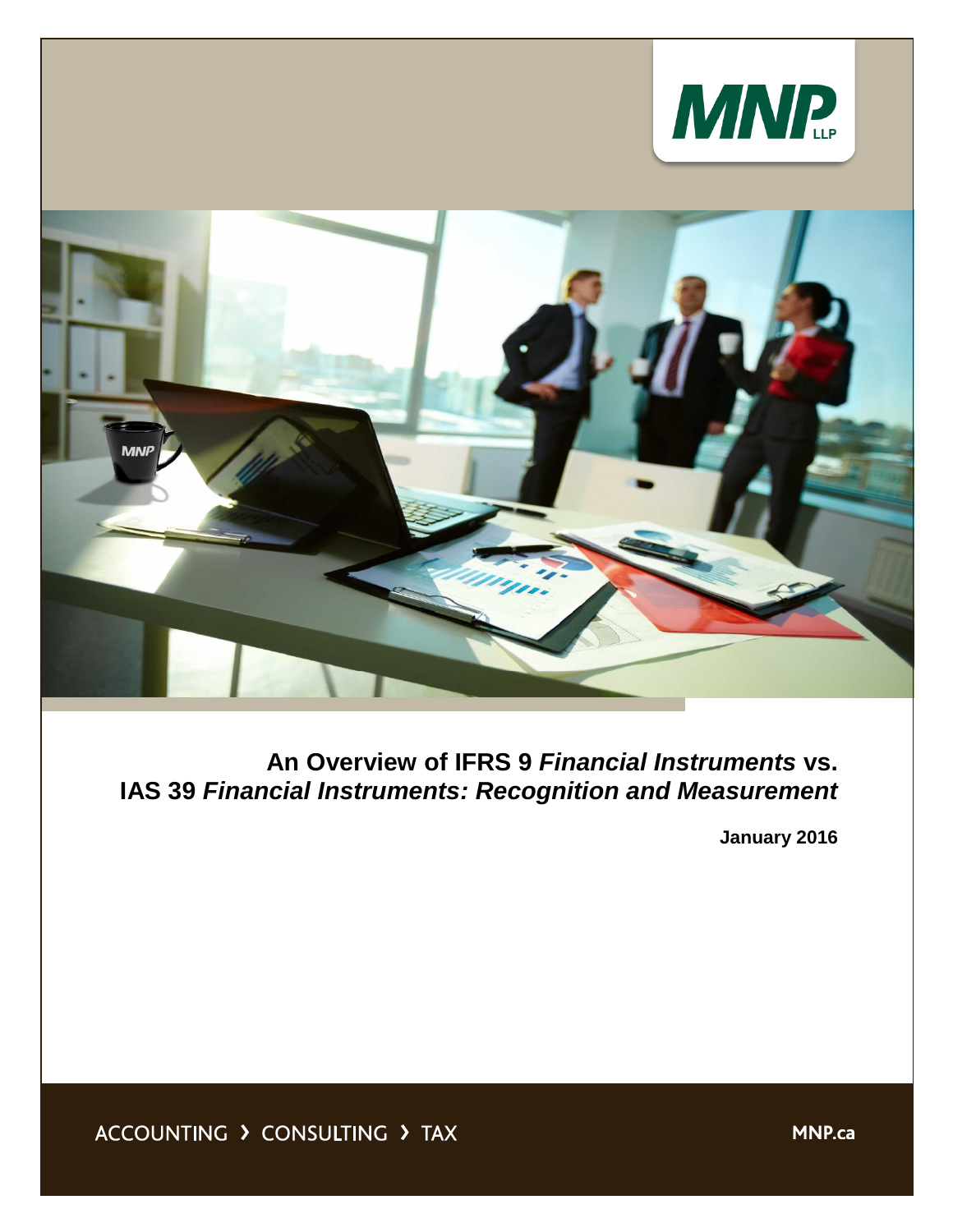



**An Overview of IFRS 9** *Financial Instruments* **vs. IAS 39** *Financial Instruments: Recognition and Measurement*

**January 2016**

ACCOUNTING > CONSULTING > TAX

**MNP.ca**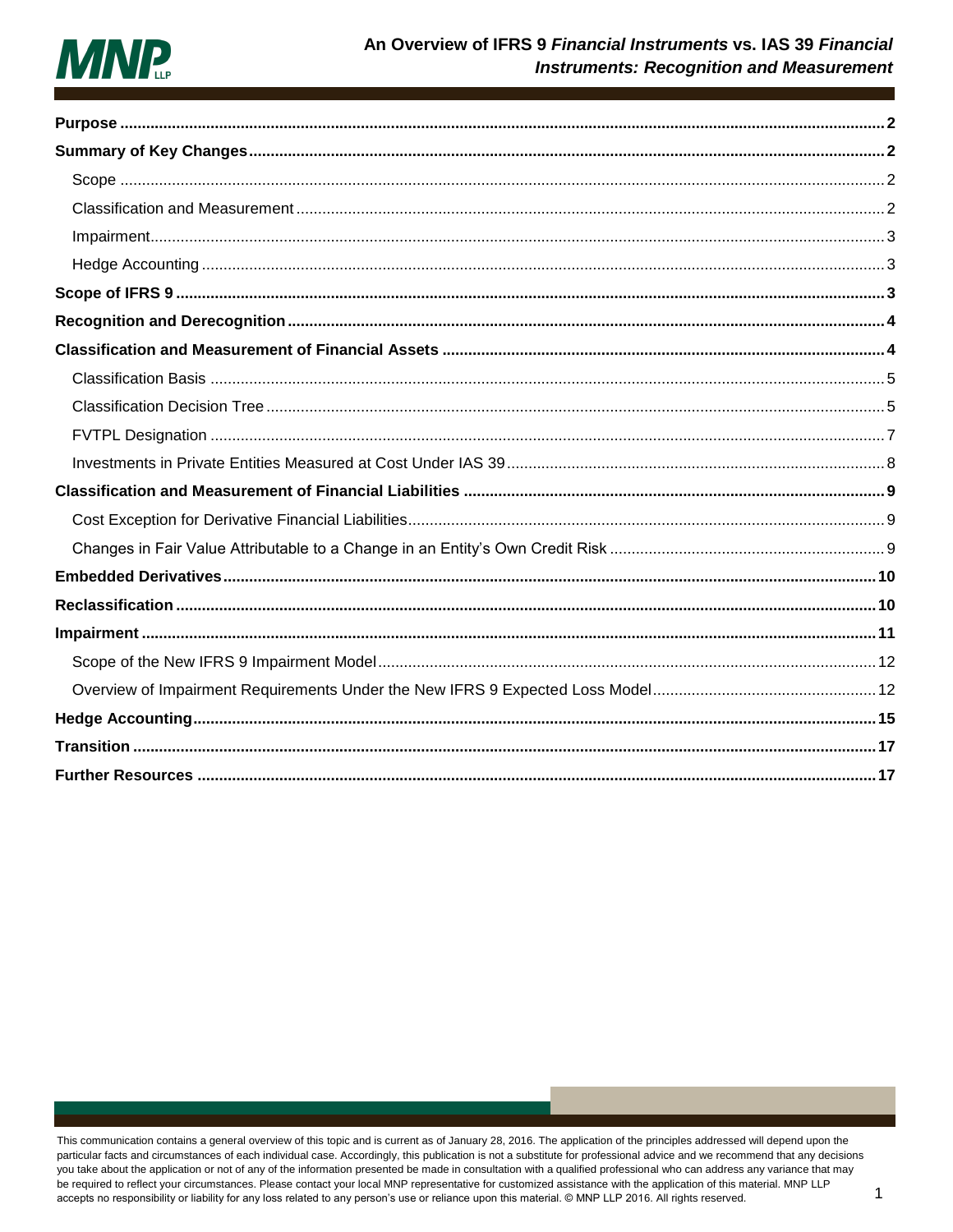

This communication contains a general overview of this topic and is current as of January 28, 2016. The application of the principles addressed will depend upon the particular facts and circumstances of each individual case. Accordingly, this publication is not a substitute for professional advice and we recommend that any decisions you take about the application or not of any of the information presented be made in consultation with a qualified professional who can address any variance that may be required to reflect your circumstances. Please contact your local MNP representative for customized assistance with the application of this material. MNP LLP accepts no responsibility or liability for any loss related to any person's use or reliance upon this material. @ MNP LLP 2016. All rights reserved.

 $\overline{1}$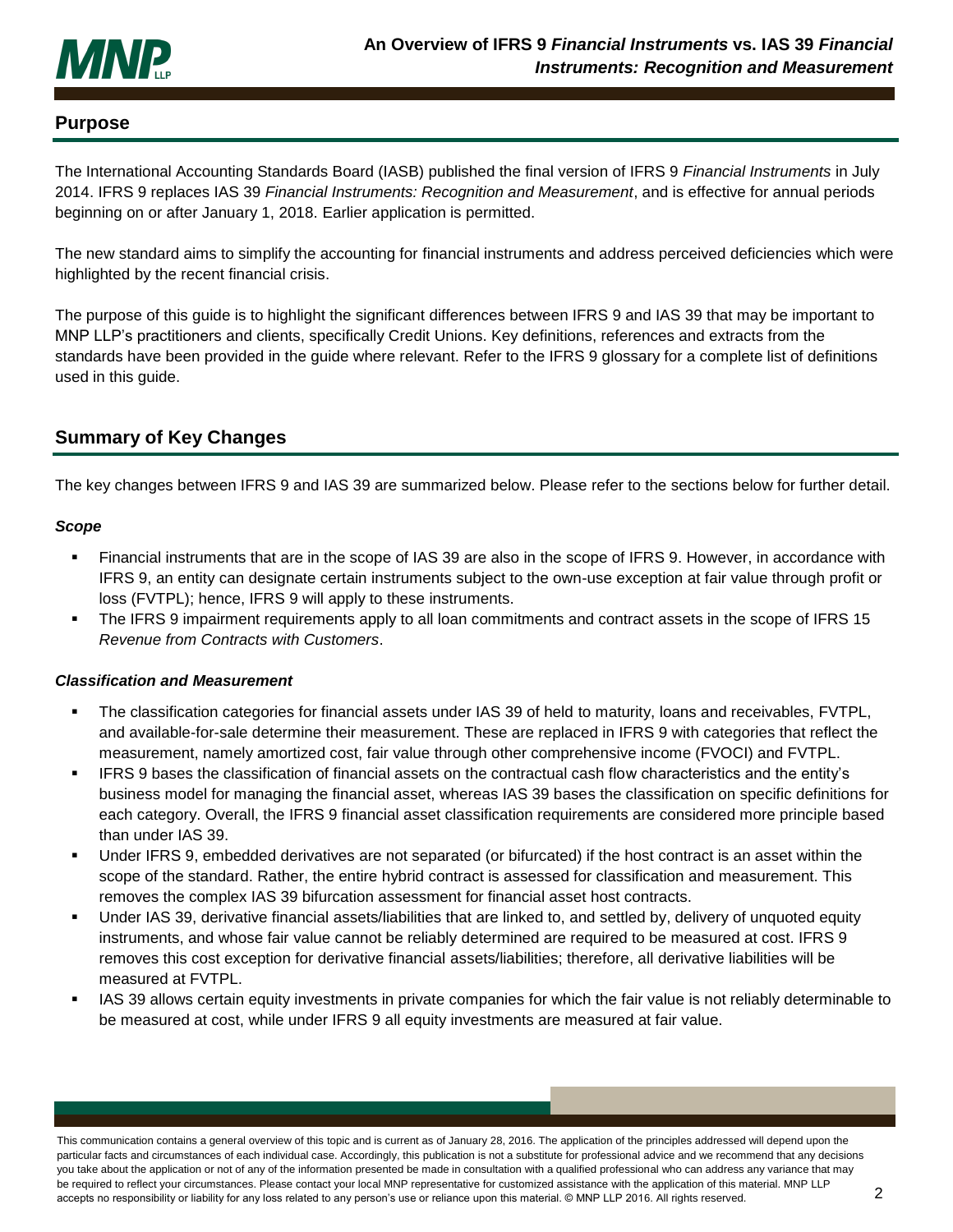

### <span id="page-2-0"></span>**Purpose**

The International Accounting Standards Board (IASB) published the final version of IFRS 9 *Financial Instruments* in July 2014. IFRS 9 replaces IAS 39 *Financial Instruments: Recognition and Measurement*, and is effective for annual periods beginning on or after January 1, 2018. Earlier application is permitted.

The new standard aims to simplify the accounting for financial instruments and address perceived deficiencies which were highlighted by the recent financial crisis.

The purpose of this guide is to highlight the significant differences between IFRS 9 and IAS 39 that may be important to MNP LLP's practitioners and clients, specifically Credit Unions. Key definitions, references and extracts from the standards have been provided in the guide where relevant. Refer to the IFRS 9 glossary for a complete list of definitions used in this guide.

## <span id="page-2-1"></span>**Summary of Key Changes**

The key changes between IFRS 9 and IAS 39 are summarized below. Please refer to the sections below for further detail.

### <span id="page-2-2"></span>*Scope*

- Financial instruments that are in the scope of IAS 39 are also in the scope of IFRS 9. However, in accordance with IFRS 9, an entity can designate certain instruments subject to the own-use exception at fair value through profit or loss (FVTPL); hence, IFRS 9 will apply to these instruments.
- The IFRS 9 impairment requirements apply to all loan commitments and contract assets in the scope of IFRS 15 *Revenue from Contracts with Customers*.

### <span id="page-2-3"></span>*Classification and Measurement*

- The classification categories for financial assets under IAS 39 of held to maturity, loans and receivables, FVTPL, and available-for-sale determine their measurement. These are replaced in IFRS 9 with categories that reflect the measurement, namely amortized cost, fair value through other comprehensive income (FVOCI) and FVTPL.
- IFRS 9 bases the classification of financial assets on the contractual cash flow characteristics and the entity's business model for managing the financial asset, whereas IAS 39 bases the classification on specific definitions for each category. Overall, the IFRS 9 financial asset classification requirements are considered more principle based than under IAS 39.
- Under IFRS 9, embedded derivatives are not separated (or bifurcated) if the host contract is an asset within the scope of the standard. Rather, the entire hybrid contract is assessed for classification and measurement. This removes the complex IAS 39 bifurcation assessment for financial asset host contracts.
- Under IAS 39, derivative financial assets/liabilities that are linked to, and settled by, delivery of unquoted equity instruments, and whose fair value cannot be reliably determined are required to be measured at cost. IFRS 9 removes this cost exception for derivative financial assets/liabilities; therefore, all derivative liabilities will be measured at FVTPL.
- IAS 39 allows certain equity investments in private companies for which the fair value is not reliably determinable to be measured at cost, while under IFRS 9 all equity investments are measured at fair value.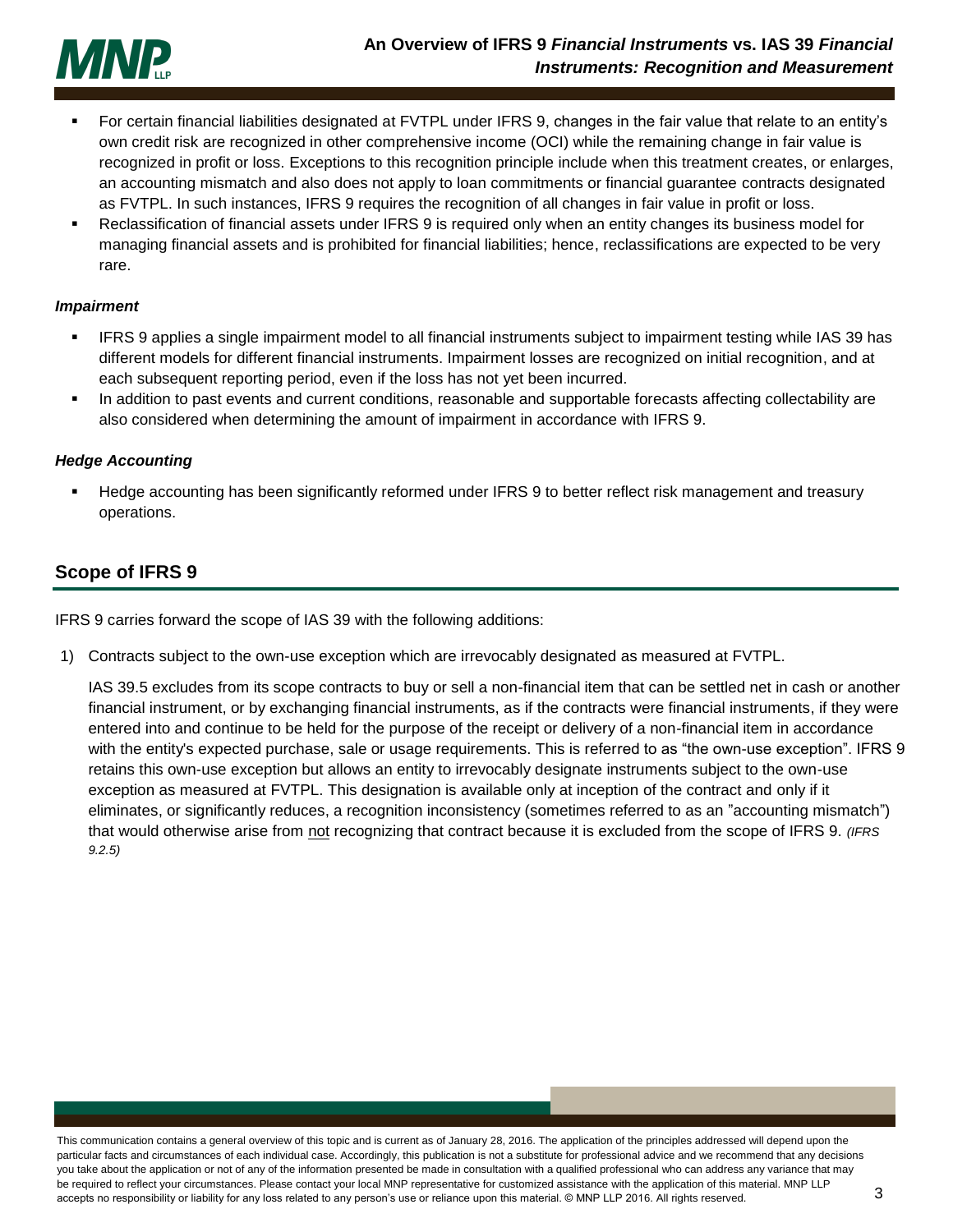

- For certain financial liabilities designated at FVTPL under IFRS 9, changes in the fair value that relate to an entity's own credit risk are recognized in other comprehensive income (OCI) while the remaining change in fair value is recognized in profit or loss. Exceptions to this recognition principle include when this treatment creates, or enlarges, an accounting mismatch and also does not apply to loan commitments or financial guarantee contracts designated as FVTPL. In such instances, IFRS 9 requires the recognition of all changes in fair value in profit or loss.
- Reclassification of financial assets under IFRS 9 is required only when an entity changes its business model for managing financial assets and is prohibited for financial liabilities; hence, reclassifications are expected to be very rare.

#### <span id="page-3-0"></span>*Impairment*

- IFRS 9 applies a single impairment model to all financial instruments subject to impairment testing while IAS 39 has different models for different financial instruments. Impairment losses are recognized on initial recognition, and at each subsequent reporting period, even if the loss has not yet been incurred.
- In addition to past events and current conditions, reasonable and supportable forecasts affecting collectability are also considered when determining the amount of impairment in accordance with IFRS 9.

#### <span id="page-3-1"></span>*Hedge Accounting*

 Hedge accounting has been significantly reformed under IFRS 9 to better reflect risk management and treasury operations.

## <span id="page-3-2"></span>**Scope of IFRS 9**

IFRS 9 carries forward the scope of IAS 39 with the following additions:

1) Contracts subject to the own-use exception which are irrevocably designated as measured at FVTPL.

IAS 39.5 excludes from its scope contracts to buy or sell a non-financial item that can be settled net in cash or another financial instrument, or by exchanging financial instruments, as if the contracts were financial instruments, if they were entered into and continue to be held for the purpose of the receipt or delivery of a non-financial item in accordance with the entity's expected purchase, sale or usage requirements. This is referred to as "the own-use exception". IFRS 9 retains this own-use exception but allows an entity to irrevocably designate instruments subject to the own-use exception as measured at FVTPL. This designation is available only at inception of the contract and only if it eliminates, or significantly reduces, a recognition inconsistency (sometimes referred to as an "accounting mismatch") that would otherwise arise from not recognizing that contract because it is excluded from the scope of IFRS 9. (IFRS *9.2.5)*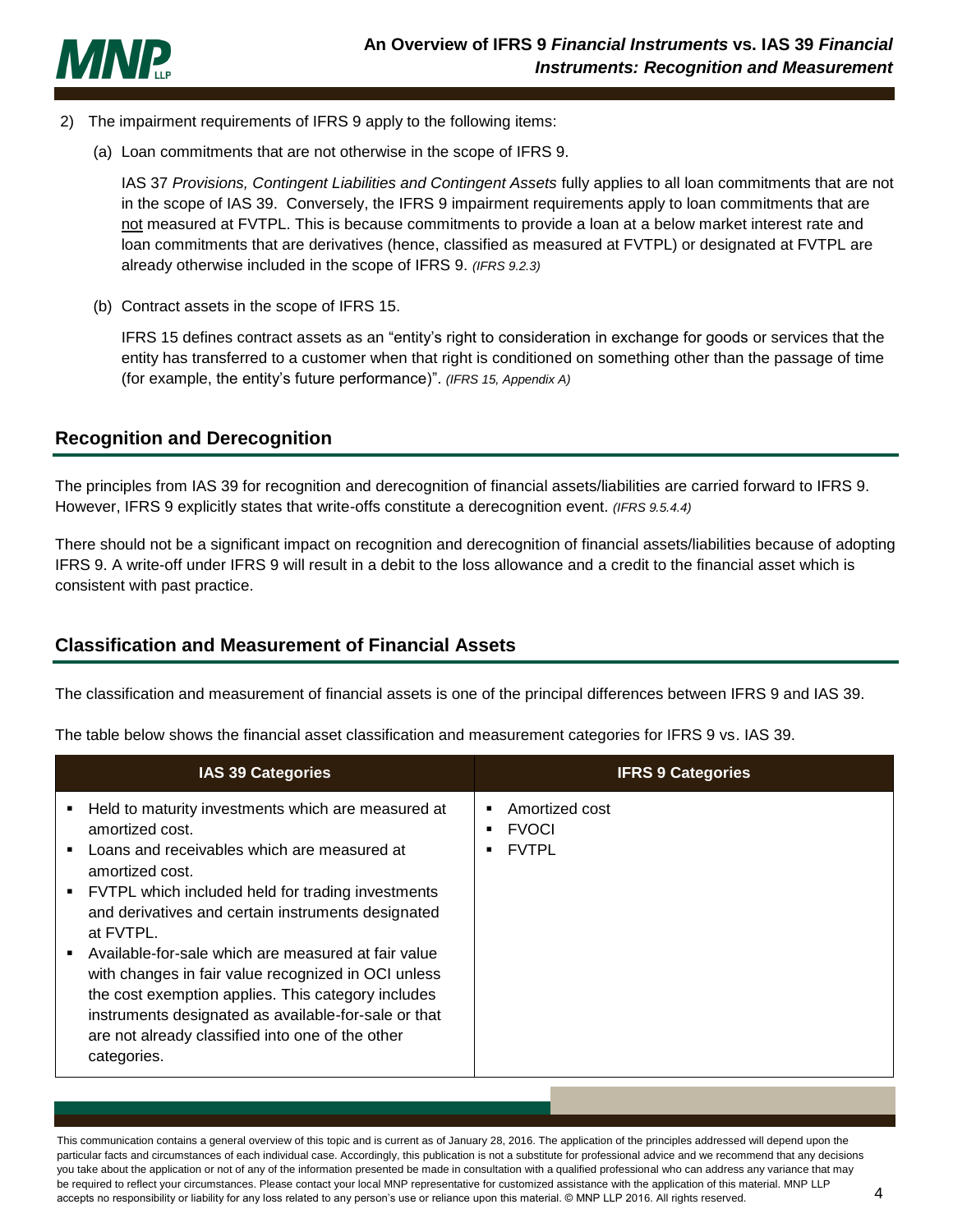

- 2) The impairment requirements of IFRS 9 apply to the following items:
	- (a) Loan commitments that are not otherwise in the scope of IFRS 9.

IAS 37 *Provisions, Contingent Liabilities and Contingent Assets* fully applies to all loan commitments that are not in the scope of IAS 39. Conversely, the IFRS 9 impairment requirements apply to loan commitments that are not measured at FVTPL. This is because commitments to provide a loan at a below market interest rate and loan commitments that are derivatives (hence, classified as measured at FVTPL) or designated at FVTPL are already otherwise included in the scope of IFRS 9. *(IFRS 9.2.3)*

(b) Contract assets in the scope of IFRS 15.

IFRS 15 defines contract assets as an "entity's right to consideration in exchange for goods or services that the entity has transferred to a customer when that right is conditioned on something other than the passage of time (for example, the entity's future performance)". *(IFRS 15, Appendix A)*

# <span id="page-4-0"></span>**Recognition and Derecognition**

The principles from IAS 39 for recognition and derecognition of financial assets/liabilities are carried forward to IFRS 9. However, IFRS 9 explicitly states that write-offs constitute a derecognition event. *(IFRS 9.5.4.4)*

There should not be a significant impact on recognition and derecognition of financial assets/liabilities because of adopting IFRS 9. A write-off under IFRS 9 will result in a debit to the loss allowance and a credit to the financial asset which is consistent with past practice.

# <span id="page-4-1"></span>**Classification and Measurement of Financial Assets**

The classification and measurement of financial assets is one of the principal differences between IFRS 9 and IAS 39.

The table below shows the financial asset classification and measurement categories for IFRS 9 vs. IAS 39.

| <b>IAS 39 Categories</b>                                                                                                                                                                                                                                                                                                                                                                                                                                                                                                                                       | <b>IFRS 9 Categories</b>                                 |
|----------------------------------------------------------------------------------------------------------------------------------------------------------------------------------------------------------------------------------------------------------------------------------------------------------------------------------------------------------------------------------------------------------------------------------------------------------------------------------------------------------------------------------------------------------------|----------------------------------------------------------|
| Held to maturity investments which are measured at<br>amortized cost.<br>Loans and receivables which are measured at<br>amortized cost.<br>FVTPL which included held for trading investments<br>and derivatives and certain instruments designated<br>at FVTPL.<br>Available-for-sale which are measured at fair value<br>with changes in fair value recognized in OCI unless<br>the cost exemption applies. This category includes<br>instruments designated as available-for-sale or that<br>are not already classified into one of the other<br>categories. | Amortized cost<br>п<br><b>FVOCI</b><br>п<br><b>FVTPL</b> |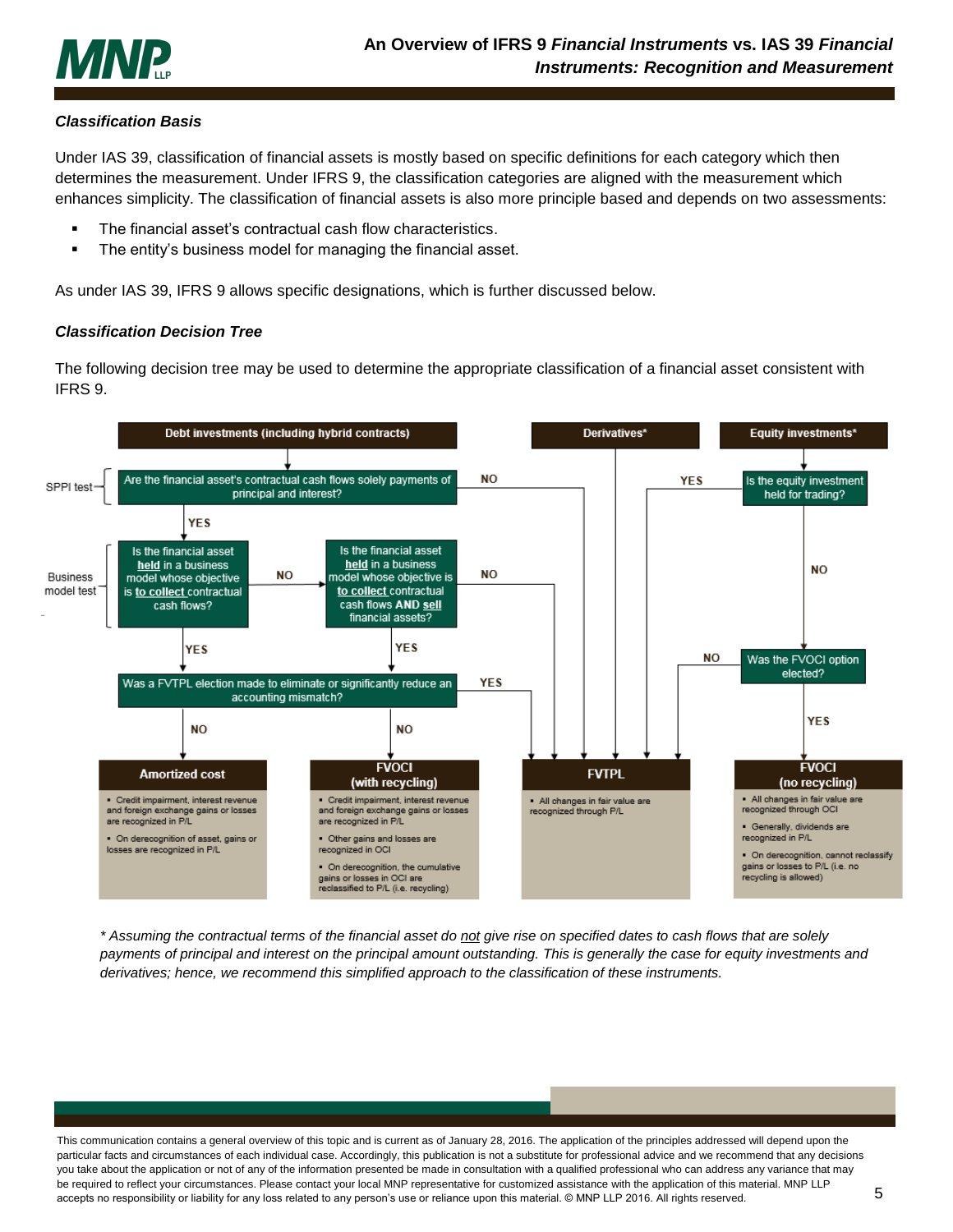

### <span id="page-5-0"></span>*Classification Basis*

Under IAS 39, classification of financial assets is mostly based on specific definitions for each category which then determines the measurement. Under IFRS 9, the classification categories are aligned with the measurement which enhances simplicity. The classification of financial assets is also more principle based and depends on two assessments:

- The financial asset's contractual cash flow characteristics.
- The entity's business model for managing the financial asset.

As under IAS 39, IFRS 9 allows specific designations, which is further discussed below.

#### <span id="page-5-1"></span>*Classification Decision Tree*

The following decision tree may be used to determine the appropriate classification of a financial asset consistent with IFRS 9.



*\* Assuming the contractual terms of the financial asset do not give rise on specified dates to cash flows that are solely*  payments of principal and interest on the principal amount outstanding. This is generally the case for equity investments and *derivatives; hence, we recommend this simplified approach to the classification of these instruments.*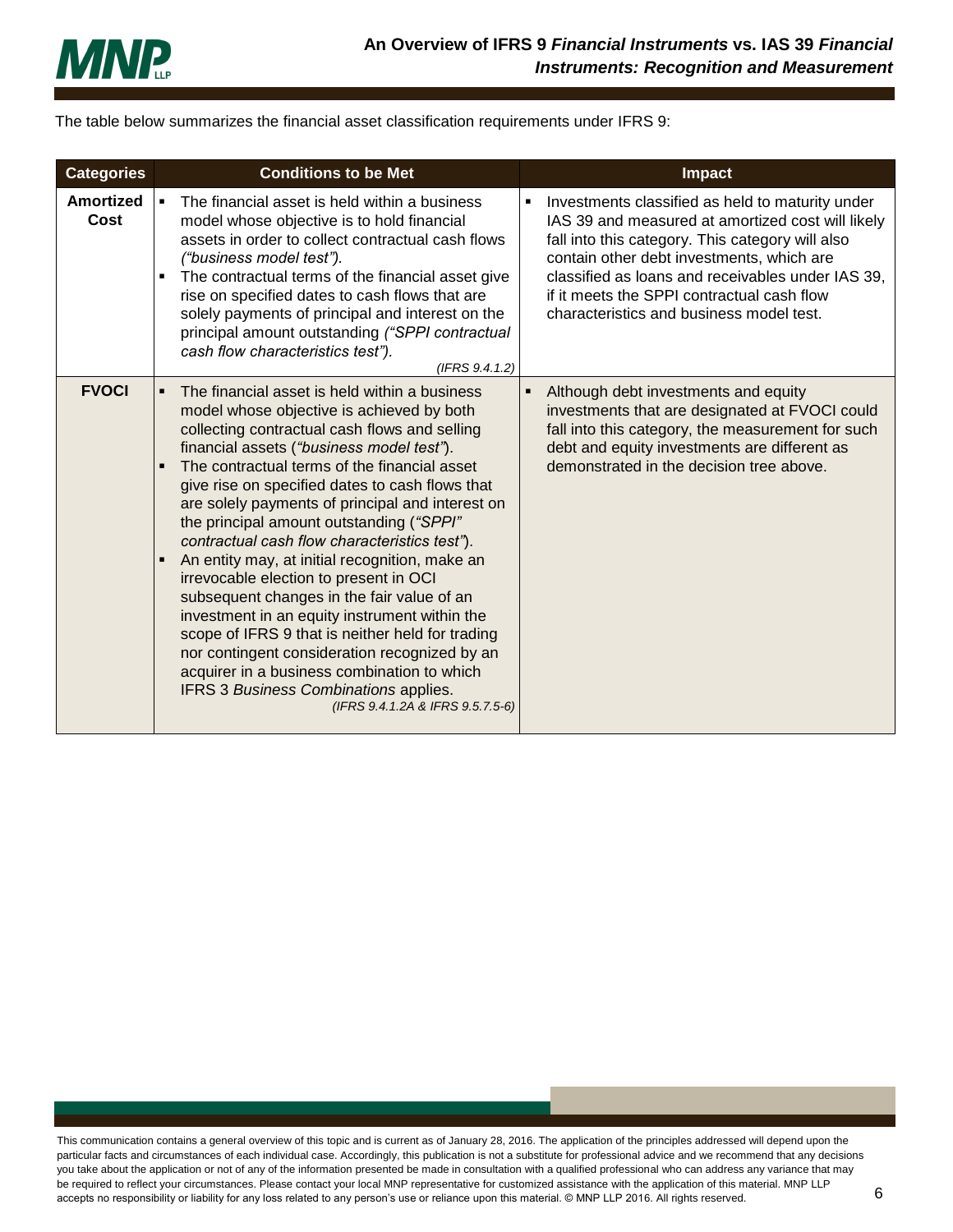

The table below summarizes the financial asset classification requirements under IFRS 9:

| <b>Categories</b>        | <b>Conditions to be Met</b>                                                                                                                                                                                                                                                                                                                                                                                                                                                                                                                                                                                                                                                                                                                                                                                                                                                   | <b>Impact</b>                                                                                                                                                                                                                                                                                                                                              |
|--------------------------|-------------------------------------------------------------------------------------------------------------------------------------------------------------------------------------------------------------------------------------------------------------------------------------------------------------------------------------------------------------------------------------------------------------------------------------------------------------------------------------------------------------------------------------------------------------------------------------------------------------------------------------------------------------------------------------------------------------------------------------------------------------------------------------------------------------------------------------------------------------------------------|------------------------------------------------------------------------------------------------------------------------------------------------------------------------------------------------------------------------------------------------------------------------------------------------------------------------------------------------------------|
| <b>Amortized</b><br>Cost | The financial asset is held within a business<br>model whose objective is to hold financial<br>assets in order to collect contractual cash flows<br>("business model test").<br>The contractual terms of the financial asset give<br>п<br>rise on specified dates to cash flows that are<br>solely payments of principal and interest on the<br>principal amount outstanding ("SPPI contractual<br>cash flow characteristics test").<br>(IFRS 9.4.1.2)                                                                                                                                                                                                                                                                                                                                                                                                                        | Investments classified as held to maturity under<br>٠<br>IAS 39 and measured at amortized cost will likely<br>fall into this category. This category will also<br>contain other debt investments, which are<br>classified as loans and receivables under IAS 39,<br>if it meets the SPPI contractual cash flow<br>characteristics and business model test. |
| <b>FVOCI</b>             | The financial asset is held within a business<br>model whose objective is achieved by both<br>collecting contractual cash flows and selling<br>financial assets ("business model test").<br>The contractual terms of the financial asset<br>give rise on specified dates to cash flows that<br>are solely payments of principal and interest on<br>the principal amount outstanding ("SPPI"<br>contractual cash flow characteristics test").<br>An entity may, at initial recognition, make an<br>F<br>irrevocable election to present in OCI<br>subsequent changes in the fair value of an<br>investment in an equity instrument within the<br>scope of IFRS 9 that is neither held for trading<br>nor contingent consideration recognized by an<br>acquirer in a business combination to which<br>IFRS 3 Business Combinations applies.<br>(IFRS 9.4.1.2A & IFRS 9.5.7.5-6) | Although debt investments and equity<br>٠<br>investments that are designated at FVOCI could<br>fall into this category, the measurement for such<br>debt and equity investments are different as<br>demonstrated in the decision tree above.                                                                                                               |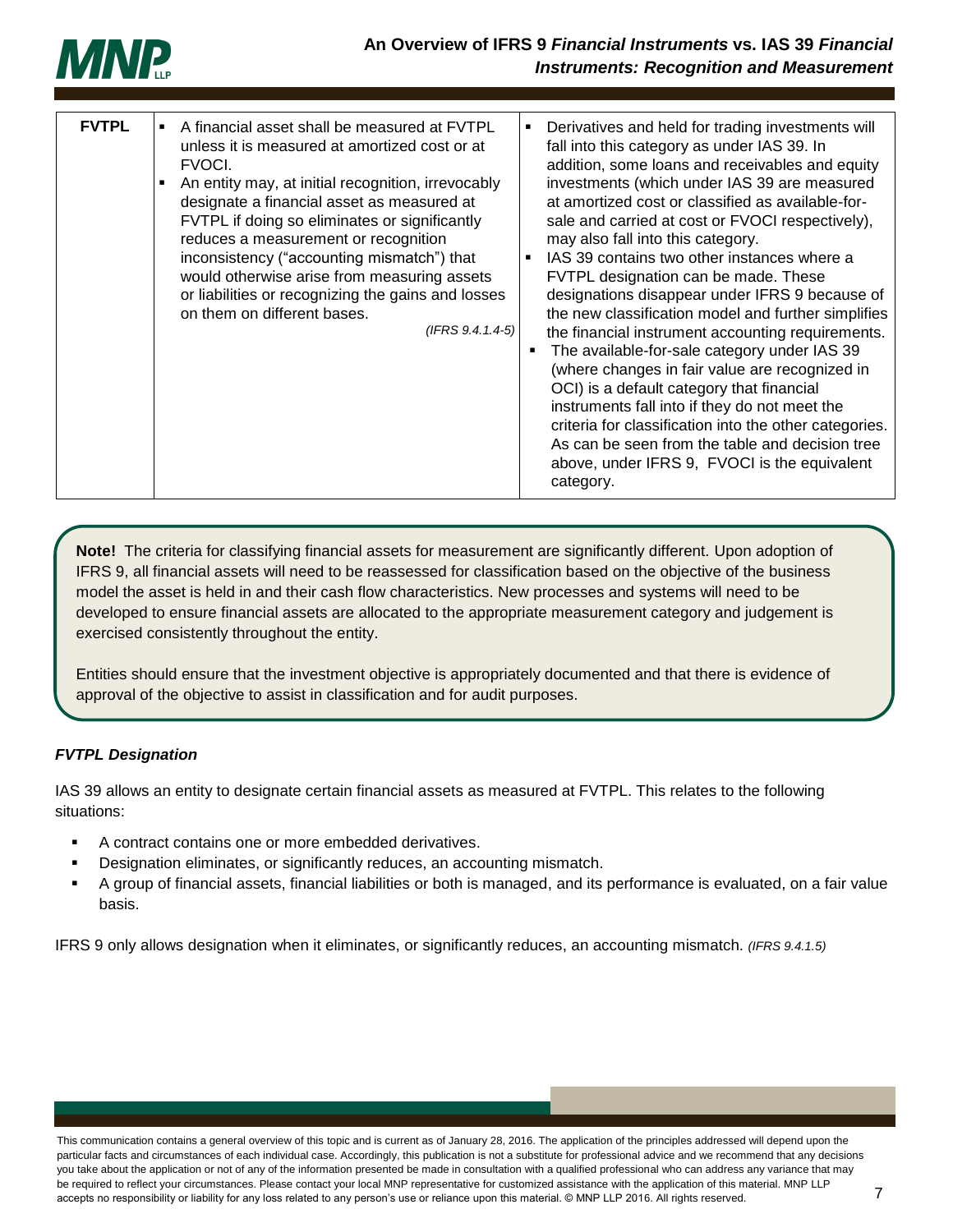

| <b>FVTPL</b> | A financial asset shall be measured at FVTPL<br>unless it is measured at amortized cost or at<br>FVOCI.<br>An entity may, at initial recognition, irrevocably<br>٠<br>designate a financial asset as measured at<br>FVTPL if doing so eliminates or significantly<br>reduces a measurement or recognition<br>inconsistency ("accounting mismatch") that<br>would otherwise arise from measuring assets<br>or liabilities or recognizing the gains and losses<br>on them on different bases.<br>$(IFRS 9.4.1.4-5)$ | Derivatives and held for trading investments will<br>fall into this category as under IAS 39. In<br>addition, some loans and receivables and equity<br>investments (which under IAS 39 are measured<br>at amortized cost or classified as available-for-<br>sale and carried at cost or FVOCI respectively),<br>may also fall into this category.<br>IAS 39 contains two other instances where a<br>FVTPL designation can be made. These<br>designations disappear under IFRS 9 because of<br>the new classification model and further simplifies<br>the financial instrument accounting requirements.<br>The available-for-sale category under IAS 39<br>в<br>(where changes in fair value are recognized in<br>OCI) is a default category that financial<br>instruments fall into if they do not meet the<br>criteria for classification into the other categories.<br>As can be seen from the table and decision tree<br>above, under IFRS 9, FVOCI is the equivalent<br>category. |
|--------------|-------------------------------------------------------------------------------------------------------------------------------------------------------------------------------------------------------------------------------------------------------------------------------------------------------------------------------------------------------------------------------------------------------------------------------------------------------------------------------------------------------------------|---------------------------------------------------------------------------------------------------------------------------------------------------------------------------------------------------------------------------------------------------------------------------------------------------------------------------------------------------------------------------------------------------------------------------------------------------------------------------------------------------------------------------------------------------------------------------------------------------------------------------------------------------------------------------------------------------------------------------------------------------------------------------------------------------------------------------------------------------------------------------------------------------------------------------------------------------------------------------------------|

**Note!** The criteria for classifying financial assets for measurement are significantly different. Upon adoption of IFRS 9, all financial assets will need to be reassessed for classification based on the objective of the business model the asset is held in and their cash flow characteristics. New processes and systems will need to be developed to ensure financial assets are allocated to the appropriate measurement category and judgement is exercised consistently throughout the entity.

Entities should ensure that the investment objective is appropriately documented and that there is evidence of approval of the objective to assist in classification and for audit purposes.

### <span id="page-7-0"></span>*FVTPL Designation*

IAS 39 allows an entity to designate certain financial assets as measured at FVTPL. This relates to the following situations:

- A contract contains one or more embedded derivatives.
- Designation eliminates, or significantly reduces, an accounting mismatch.
- A group of financial assets, financial liabilities or both is managed, and its performance is evaluated, on a fair value basis.

IFRS 9 only allows designation when it eliminates, or significantly reduces, an accounting mismatch. *(IFRS 9.4.1.5)*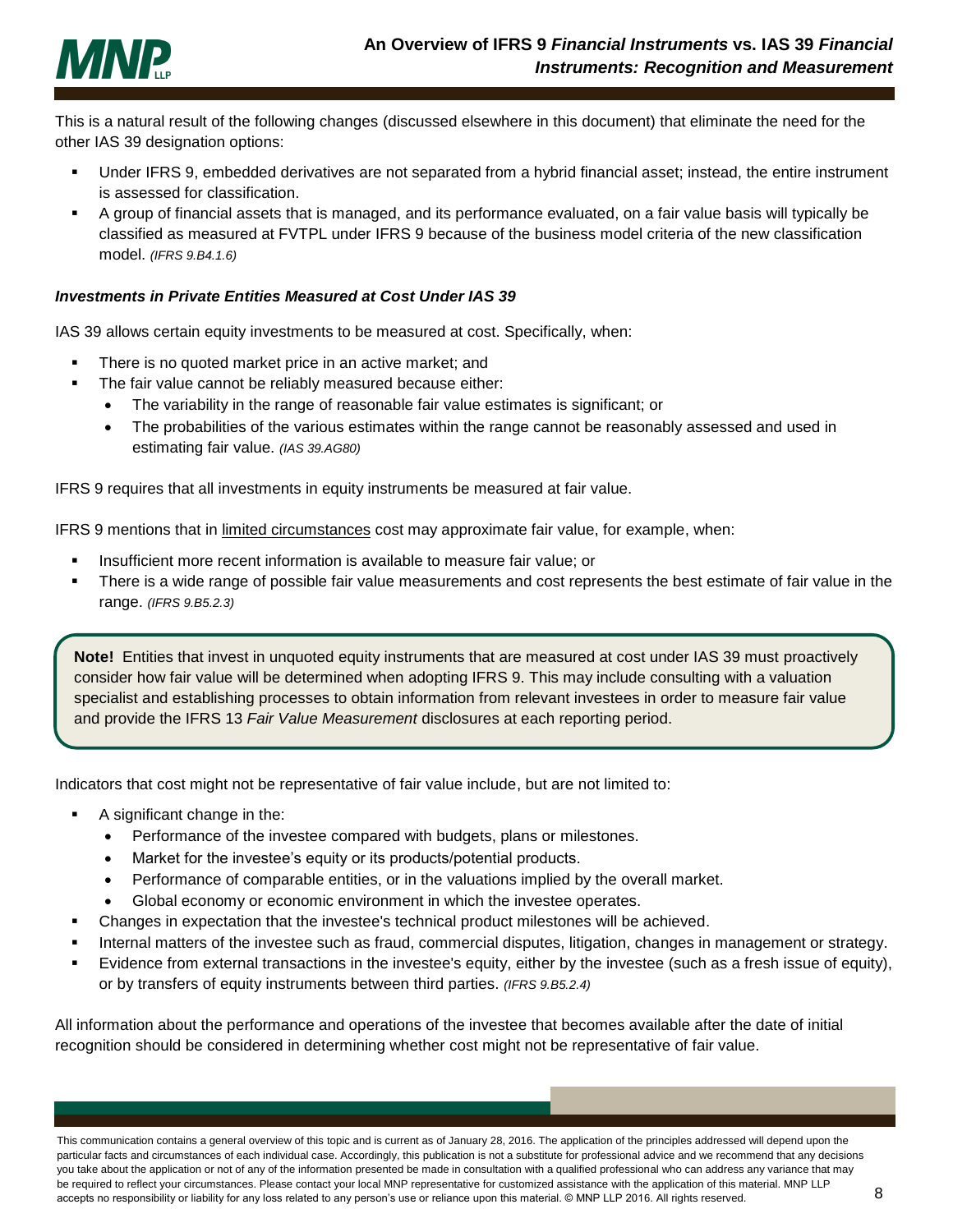

This is a natural result of the following changes (discussed elsewhere in this document) that eliminate the need for the other IAS 39 designation options:

- Under IFRS 9, embedded derivatives are not separated from a hybrid financial asset; instead, the entire instrument is assessed for classification.
- A group of financial assets that is managed, and its performance evaluated, on a fair value basis will typically be classified as measured at FVTPL under IFRS 9 because of the business model criteria of the new classification model. *(IFRS 9.B4.1.6)*

#### <span id="page-8-0"></span>*Investments in Private Entities Measured at Cost Under IAS 39*

IAS 39 allows certain equity investments to be measured at cost. Specifically, when:

- There is no quoted market price in an active market; and
	- The fair value cannot be reliably measured because either:
		- The variability in the range of reasonable fair value estimates is significant; or
		- The probabilities of the various estimates within the range cannot be reasonably assessed and used in estimating fair value. *(IAS 39.AG80)*

IFRS 9 requires that all investments in equity instruments be measured at fair value.

IFRS 9 mentions that in limited circumstances cost may approximate fair value, for example, when:

- Insufficient more recent information is available to measure fair value; or
- **There is a wide range of possible fair value measurements and cost represents the best estimate of fair value in the** range. *(IFRS 9.B5.2.3)*

**Note!** Entities that invest in unquoted equity instruments that are measured at cost under IAS 39 must proactively consider how fair value will be determined when adopting IFRS 9. This may include consulting with a valuation specialist and establishing processes to obtain information from relevant investees in order to measure fair value and provide the IFRS 13 *Fair Value Measurement* disclosures at each reporting period.

Indicators that cost might not be representative of fair value include, but are not limited to:

- A significant change in the:
	- Performance of the investee compared with budgets, plans or milestones.
	- Market for the investee's equity or its products/potential products.
	- Performance of comparable entities, or in the valuations implied by the overall market.
	- Global economy or economic environment in which the investee operates.
- Changes in expectation that the investee's technical product milestones will be achieved.
- Internal matters of the investee such as fraud, commercial disputes, litigation, changes in management or strategy.
- Evidence from external transactions in the investee's equity, either by the investee (such as a fresh issue of equity), or by transfers of equity instruments between third parties. *(IFRS 9.B5.2.4)*

All information about the performance and operations of the investee that becomes available after the date of initial recognition should be considered in determining whether cost might not be representative of fair value.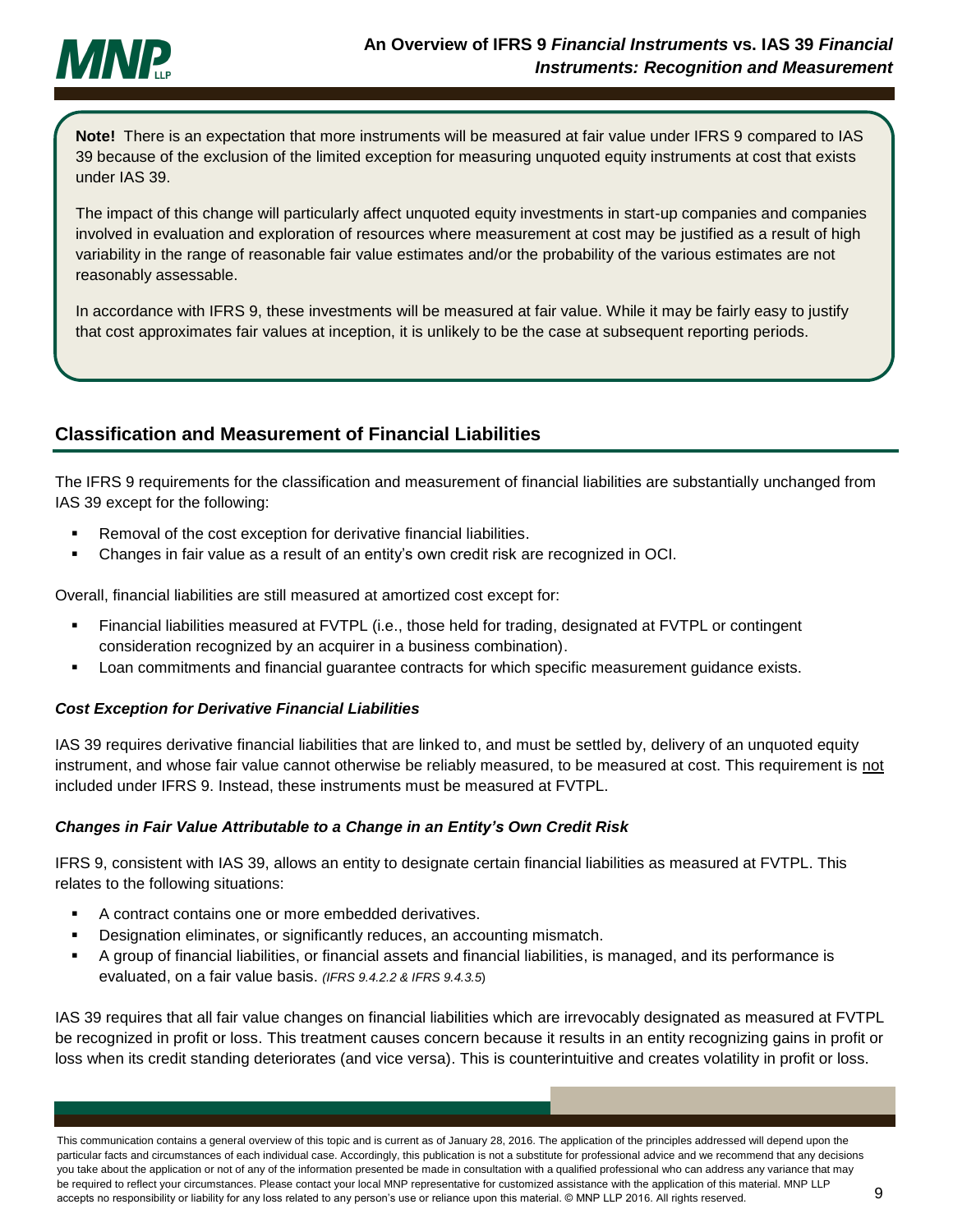

**Note!** There is an expectation that more instruments will be measured at fair value under IFRS 9 compared to IAS 39 because of the exclusion of the limited exception for measuring unquoted equity instruments at cost that exists under IAS 39.

The impact of this change will particularly affect unquoted equity investments in start-up companies and companies involved in evaluation and exploration of resources where measurement at cost may be justified as a result of high variability in the range of reasonable fair value estimates and/or the probability of the various estimates are not reasonably assessable.

In accordance with IFRS 9, these investments will be measured at fair value. While it may be fairly easy to justify that cost approximates fair values at inception, it is unlikely to be the case at subsequent reporting periods.

# <span id="page-9-0"></span>**Classification and Measurement of Financial Liabilities**

The IFRS 9 requirements for the classification and measurement of financial liabilities are substantially unchanged from IAS 39 except for the following:

- Removal of the cost exception for derivative financial liabilities.
- Changes in fair value as a result of an entity's own credit risk are recognized in OCI.

Overall, financial liabilities are still measured at amortized cost except for:

- Financial liabilities measured at FVTPL (i.e., those held for trading, designated at FVTPL or contingent consideration recognized by an acquirer in a business combination).
- Loan commitments and financial guarantee contracts for which specific measurement guidance exists.

### <span id="page-9-1"></span>*Cost Exception for Derivative Financial Liabilities*

IAS 39 requires derivative financial liabilities that are linked to, and must be settled by, delivery of an unquoted equity instrument, and whose fair value cannot otherwise be reliably measured, to be measured at cost. This requirement is not included under IFRS 9. Instead, these instruments must be measured at FVTPL.

### <span id="page-9-2"></span>*Changes in Fair Value Attributable to a Change in an Entity's Own Credit Risk*

IFRS 9, consistent with IAS 39, allows an entity to designate certain financial liabilities as measured at FVTPL. This relates to the following situations:

- A contract contains one or more embedded derivatives.
- Designation eliminates, or significantly reduces, an accounting mismatch.
- A group of financial liabilities, or financial assets and financial liabilities, is managed, and its performance is evaluated, on a fair value basis. *(IFRS 9.4.2.2 & IFRS 9.4.3.5*)

IAS 39 requires that all fair value changes on financial liabilities which are irrevocably designated as measured at FVTPL be recognized in profit or loss. This treatment causes concern because it results in an entity recognizing gains in profit or loss when its credit standing deteriorates (and vice versa). This is counterintuitive and creates volatility in profit or loss.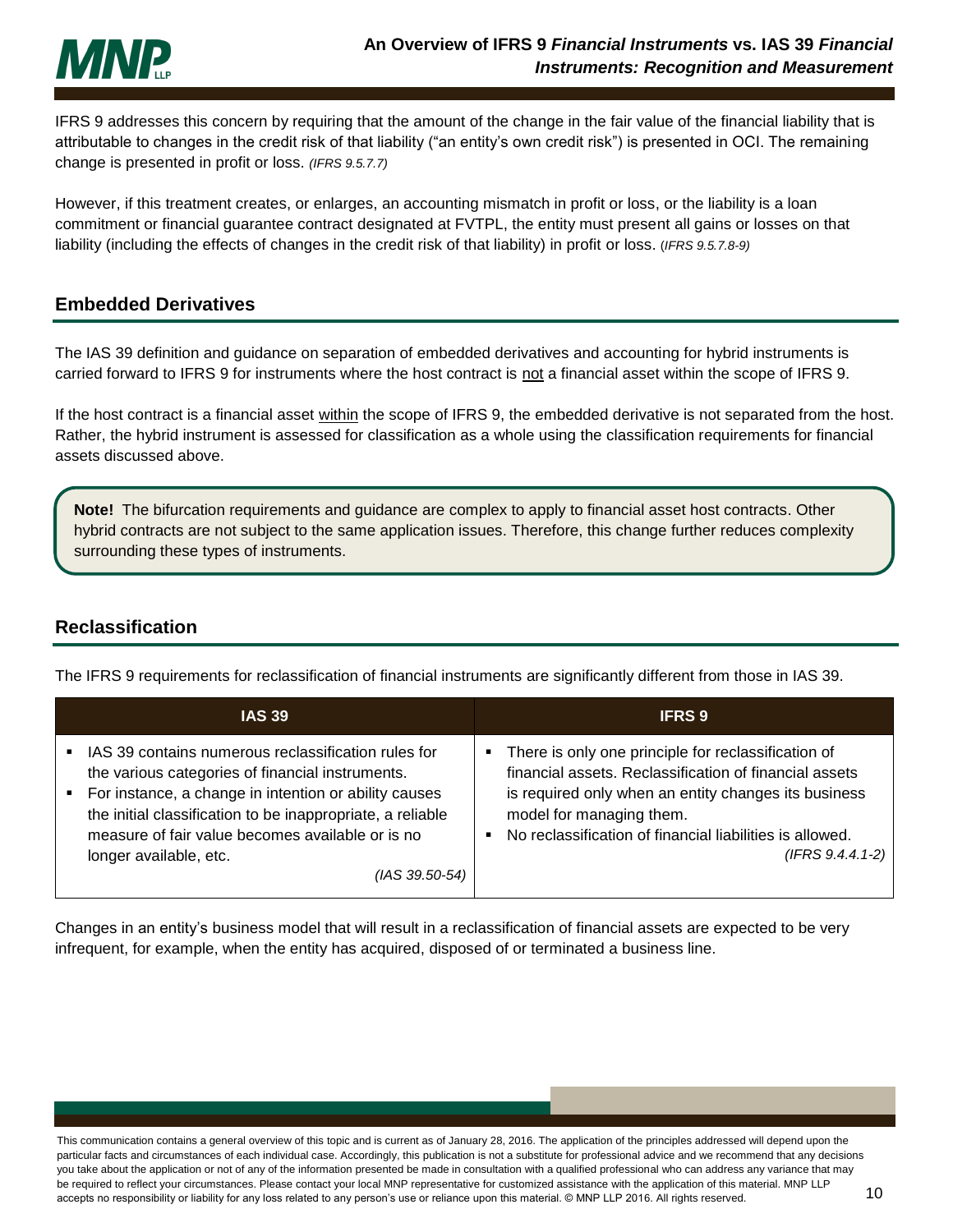

IFRS 9 addresses this concern by requiring that the amount of the change in the fair value of the financial liability that is attributable to changes in the credit risk of that liability ("an entity's own credit risk") is presented in OCI. The remaining change is presented in profit or loss. *(IFRS 9.5.7.7)*

However, if this treatment creates, or enlarges, an accounting mismatch in profit or loss, or the liability is a loan commitment or financial guarantee contract designated at FVTPL, the entity must present all gains or losses on that liability (including the effects of changes in the credit risk of that liability) in profit or loss. (*IFRS 9.5.7.8-9)*

### <span id="page-10-0"></span>**Embedded Derivatives**

The IAS 39 definition and guidance on separation of embedded derivatives and accounting for hybrid instruments is carried forward to IFRS 9 for instruments where the host contract is not a financial asset within the scope of IFRS 9.

If the host contract is a financial asset within the scope of IFRS 9, the embedded derivative is not separated from the host. Rather, the hybrid instrument is assessed for classification as a whole using the classification requirements for financial assets discussed above.

**Note!** The bifurcation requirements and guidance are complex to apply to financial asset host contracts. Other hybrid contracts are not subject to the same application issues. Therefore, this change further reduces complexity surrounding these types of instruments.

## <span id="page-10-1"></span>**Reclassification**

The IFRS 9 requirements for reclassification of financial instruments are significantly different from those in IAS 39.

| <b>IAS 39</b>                                                                                                                                                                                                                                                                                                                       | <b>IFRS 9</b>                                                                                                                                                                                                                                                                       |
|-------------------------------------------------------------------------------------------------------------------------------------------------------------------------------------------------------------------------------------------------------------------------------------------------------------------------------------|-------------------------------------------------------------------------------------------------------------------------------------------------------------------------------------------------------------------------------------------------------------------------------------|
| IAS 39 contains numerous reclassification rules for<br>the various categories of financial instruments.<br>For instance, a change in intention or ability causes<br>٠<br>the initial classification to be inappropriate, a reliable<br>measure of fair value becomes available or is no<br>longer available, etc.<br>(IAS 39.50-54) | There is only one principle for reclassification of<br>financial assets. Reclassification of financial assets<br>is required only when an entity changes its business<br>model for managing them.<br>No reclassification of financial liabilities is allowed.<br>$(IFRS 9.4.4.1-2)$ |

Changes in an entity's business model that will result in a reclassification of financial assets are expected to be very infrequent, for example, when the entity has acquired, disposed of or terminated a business line.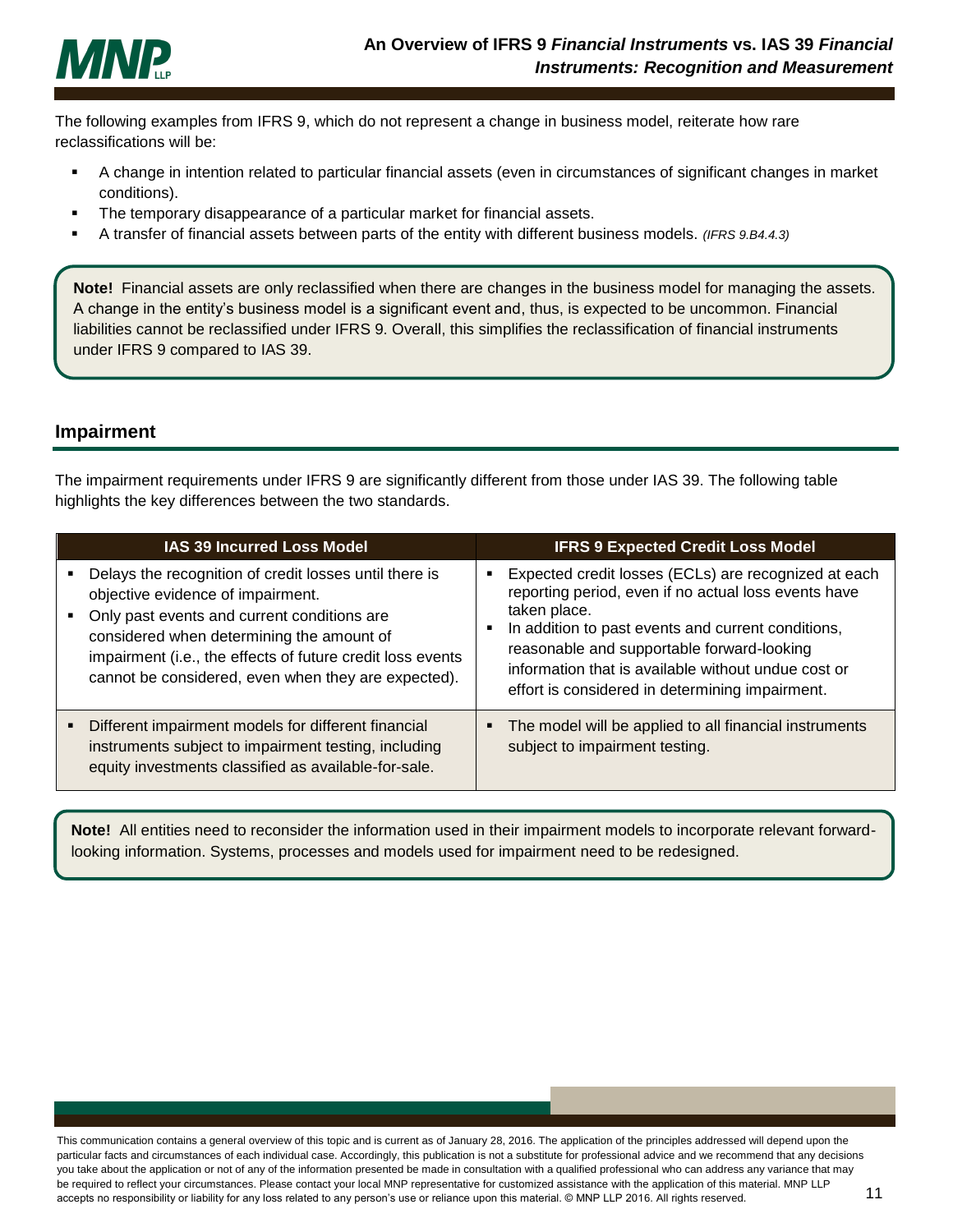

The following examples from IFRS 9, which do not represent a change in business model, reiterate how rare reclassifications will be:

- A change in intention related to particular financial assets (even in circumstances of significant changes in market conditions).
- The temporary disappearance of a particular market for financial assets.
- A transfer of financial assets between parts of the entity with different business models. *(IFRS 9.B4.4.3)*

**Note!** Financial assets are only reclassified when there are changes in the business model for managing the assets. A change in the entity's business model is a significant event and, thus, is expected to be uncommon. Financial liabilities cannot be reclassified under IFRS 9. Overall, this simplifies the reclassification of financial instruments under IFRS 9 compared to IAS 39.

# <span id="page-11-0"></span>**Impairment**

The impairment requirements under IFRS 9 are significantly different from those under IAS 39. The following table highlights the key differences between the two standards.

| IAS 39 Incurred Loss Model                                                                                                                                                                                                                                                                                   | <b>IFRS 9 Expected Credit Loss Model</b>                                                                                                                                                                                                                                                                                                   |
|--------------------------------------------------------------------------------------------------------------------------------------------------------------------------------------------------------------------------------------------------------------------------------------------------------------|--------------------------------------------------------------------------------------------------------------------------------------------------------------------------------------------------------------------------------------------------------------------------------------------------------------------------------------------|
| Delays the recognition of credit losses until there is<br>objective evidence of impairment.<br>Only past events and current conditions are<br>considered when determining the amount of<br>impairment (i.e., the effects of future credit loss events<br>cannot be considered, even when they are expected). | Expected credit losses (ECLs) are recognized at each<br>reporting period, even if no actual loss events have<br>taken place.<br>In addition to past events and current conditions,<br>reasonable and supportable forward-looking<br>information that is available without undue cost or<br>effort is considered in determining impairment. |
| Different impairment models for different financial<br>instruments subject to impairment testing, including<br>equity investments classified as available-for-sale.                                                                                                                                          | The model will be applied to all financial instruments<br>subject to impairment testing.                                                                                                                                                                                                                                                   |

**Note!** All entities need to reconsider the information used in their impairment models to incorporate relevant forwardlooking information. Systems, processes and models used for impairment need to be redesigned.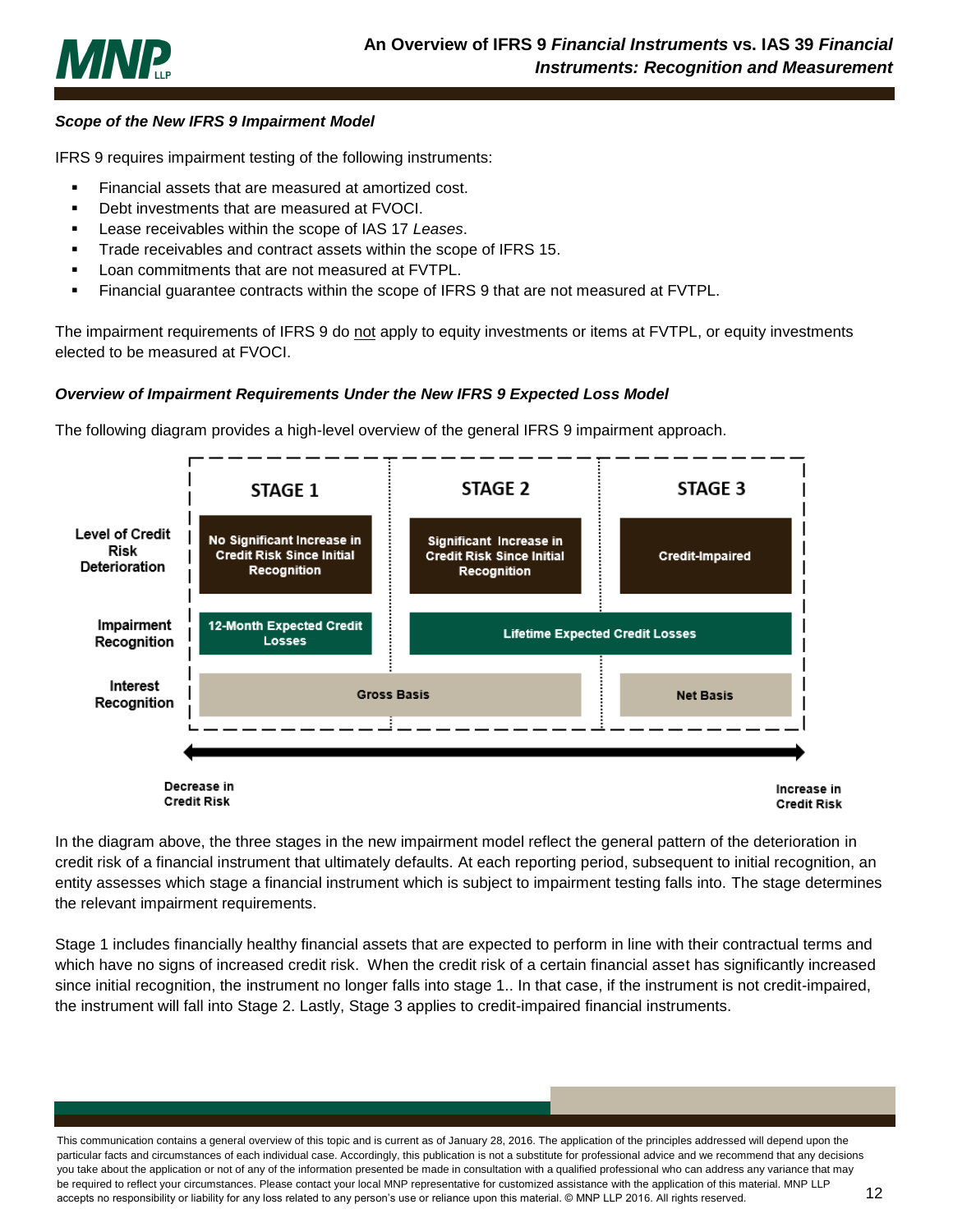

### <span id="page-12-0"></span>*Scope of the New IFRS 9 Impairment Model*

IFRS 9 requires impairment testing of the following instruments:

- Financial assets that are measured at amortized cost.
- Debt investments that are measured at FVOCI.
- Lease receivables within the scope of IAS 17 *Leases*.
- **Trade receivables and contract assets within the scope of IFRS 15.**
- Loan commitments that are not measured at FVTPL.
- Financial guarantee contracts within the scope of IFRS 9 that are not measured at FVTPL.

The impairment requirements of IFRS 9 do not apply to equity investments or items at FVTPL, or equity investments elected to be measured at FVOCI.

#### <span id="page-12-1"></span>*Overview of Impairment Requirements Under the New IFRS 9 Expected Loss Model*

The following diagram provides a high-level overview of the general IFRS 9 impairment approach.



In the diagram above, the three stages in the new impairment model reflect the general pattern of the deterioration in credit risk of a financial instrument that ultimately defaults. At each reporting period, subsequent to initial recognition, an entity assesses which stage a financial instrument which is subject to impairment testing falls into. The stage determines the relevant impairment requirements.

Stage 1 includes financially healthy financial assets that are expected to perform in line with their contractual terms and which have no signs of increased credit risk. When the credit risk of a certain financial asset has significantly increased since initial recognition, the instrument no longer falls into stage 1.. In that case, if the instrument is not credit-impaired, the instrument will fall into Stage 2. Lastly, Stage 3 applies to credit-impaired financial instruments.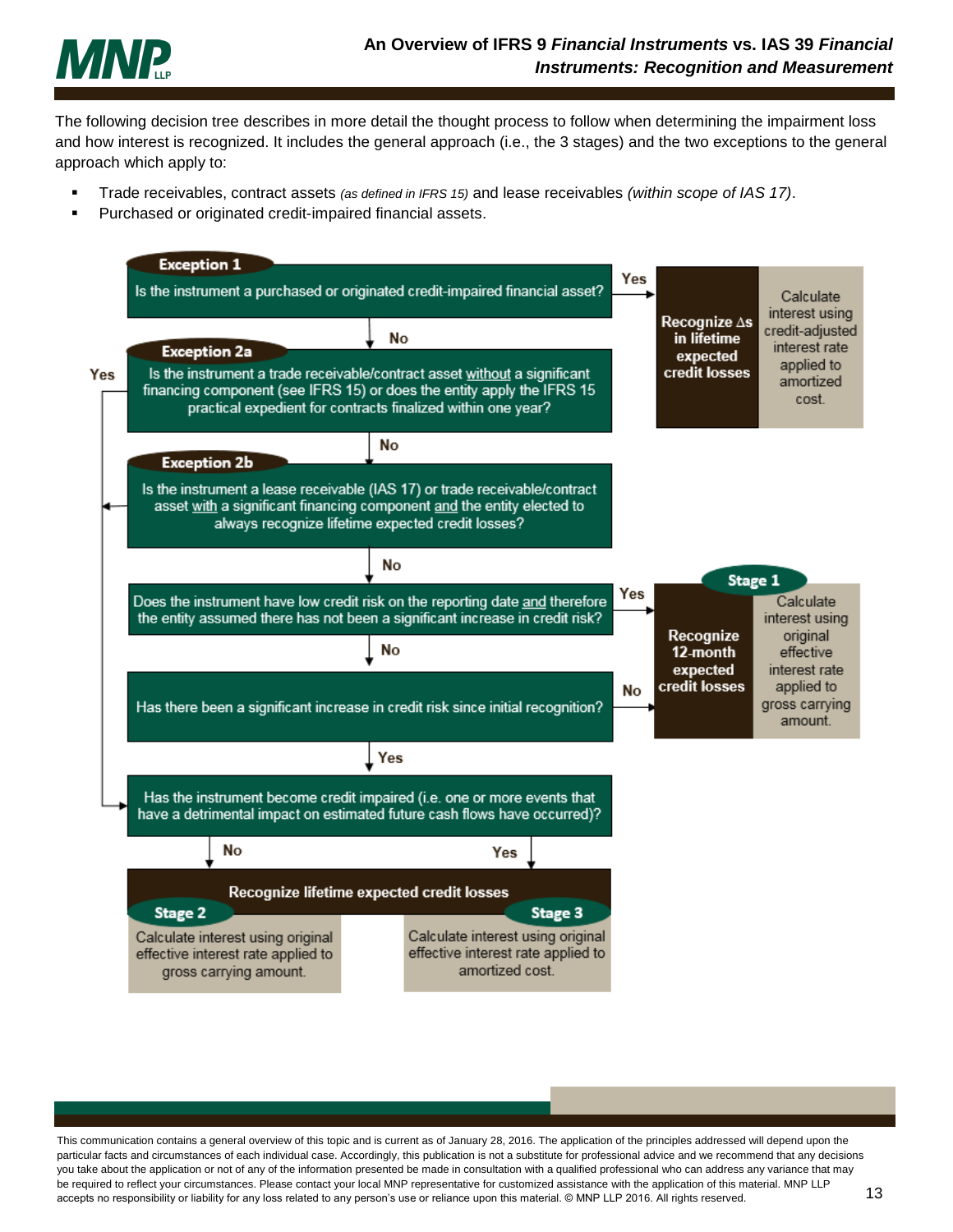

The following decision tree describes in more detail the thought process to follow when determining the impairment loss and how interest is recognized. It includes the general approach (i.e., the 3 stages) and the two exceptions to the general approach which apply to:

- Trade receivables, contract assets *(as defined in IFRS 15)* and lease receivables *(within scope of IAS 17)*.
- Purchased or originated credit-impaired financial assets.

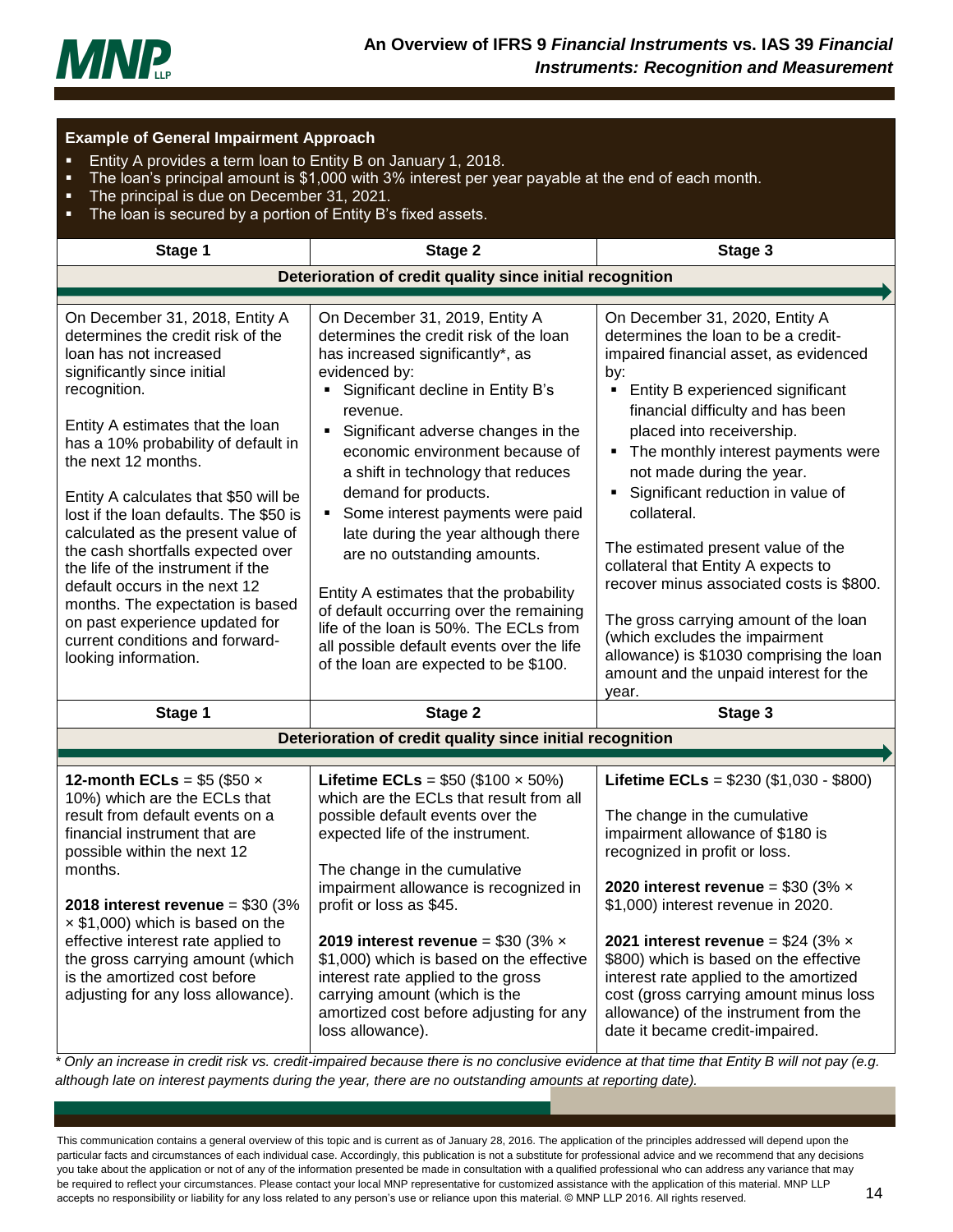

| <b>Example of General Impairment Approach</b><br>Entity A provides a term loan to Entity B on January 1, 2018.<br>п<br>The loan's principal amount is \$1,000 with 3% interest per year payable at the end of each month.<br>п<br>The principal is due on December 31, 2021.<br>п<br>The loan is secured by a portion of Entity B's fixed assets.<br>п                                                                                                                                                                                                                                                              |                                                                                                                                                                                                                                                                                                                                                                                                                                                                                                                                                                                                                                                                                           |                                                                                                                                                                                                                                                                                                                                                                                                                                                                                                                                                                                                                                                        |
|---------------------------------------------------------------------------------------------------------------------------------------------------------------------------------------------------------------------------------------------------------------------------------------------------------------------------------------------------------------------------------------------------------------------------------------------------------------------------------------------------------------------------------------------------------------------------------------------------------------------|-------------------------------------------------------------------------------------------------------------------------------------------------------------------------------------------------------------------------------------------------------------------------------------------------------------------------------------------------------------------------------------------------------------------------------------------------------------------------------------------------------------------------------------------------------------------------------------------------------------------------------------------------------------------------------------------|--------------------------------------------------------------------------------------------------------------------------------------------------------------------------------------------------------------------------------------------------------------------------------------------------------------------------------------------------------------------------------------------------------------------------------------------------------------------------------------------------------------------------------------------------------------------------------------------------------------------------------------------------------|
| Stage 1                                                                                                                                                                                                                                                                                                                                                                                                                                                                                                                                                                                                             | Stage 2                                                                                                                                                                                                                                                                                                                                                                                                                                                                                                                                                                                                                                                                                   | Stage 3                                                                                                                                                                                                                                                                                                                                                                                                                                                                                                                                                                                                                                                |
|                                                                                                                                                                                                                                                                                                                                                                                                                                                                                                                                                                                                                     | Deterioration of credit quality since initial recognition                                                                                                                                                                                                                                                                                                                                                                                                                                                                                                                                                                                                                                 |                                                                                                                                                                                                                                                                                                                                                                                                                                                                                                                                                                                                                                                        |
| On December 31, 2018, Entity A<br>determines the credit risk of the<br>loan has not increased<br>significantly since initial<br>recognition.<br>Entity A estimates that the loan<br>has a 10% probability of default in<br>the next 12 months.<br>Entity A calculates that \$50 will be<br>lost if the loan defaults. The \$50 is<br>calculated as the present value of<br>the cash shortfalls expected over<br>the life of the instrument if the<br>default occurs in the next 12<br>months. The expectation is based<br>on past experience updated for<br>current conditions and forward-<br>looking information. | On December 31, 2019, Entity A<br>determines the credit risk of the loan<br>has increased significantly*, as<br>evidenced by:<br>Significant decline in Entity B's<br>revenue.<br>Significant adverse changes in the<br>$\blacksquare$<br>economic environment because of<br>a shift in technology that reduces<br>demand for products.<br>Some interest payments were paid<br>$\blacksquare$<br>late during the year although there<br>are no outstanding amounts.<br>Entity A estimates that the probability<br>of default occurring over the remaining<br>life of the loan is 50%. The ECLs from<br>all possible default events over the life<br>of the loan are expected to be \$100. | On December 31, 2020, Entity A<br>determines the loan to be a credit-<br>impaired financial asset, as evidenced<br>by:<br>Entity B experienced significant<br>financial difficulty and has been<br>placed into receivership.<br>The monthly interest payments were<br>not made during the year.<br>Significant reduction in value of<br>collateral.<br>The estimated present value of the<br>collateral that Entity A expects to<br>recover minus associated costs is \$800.<br>The gross carrying amount of the loan<br>(which excludes the impairment<br>allowance) is \$1030 comprising the loan<br>amount and the unpaid interest for the<br>year. |
| Stage 1                                                                                                                                                                                                                                                                                                                                                                                                                                                                                                                                                                                                             | Stage 2                                                                                                                                                                                                                                                                                                                                                                                                                                                                                                                                                                                                                                                                                   | Stage 3                                                                                                                                                                                                                                                                                                                                                                                                                                                                                                                                                                                                                                                |
|                                                                                                                                                                                                                                                                                                                                                                                                                                                                                                                                                                                                                     | Deterioration of credit quality since initial recognition                                                                                                                                                                                                                                                                                                                                                                                                                                                                                                                                                                                                                                 |                                                                                                                                                                                                                                                                                                                                                                                                                                                                                                                                                                                                                                                        |
|                                                                                                                                                                                                                                                                                                                                                                                                                                                                                                                                                                                                                     |                                                                                                                                                                                                                                                                                                                                                                                                                                                                                                                                                                                                                                                                                           |                                                                                                                                                                                                                                                                                                                                                                                                                                                                                                                                                                                                                                                        |
| 12-month ECLs = $$5$ (\$50 $\times$<br>10%) which are the ECLs that<br>result from default events on a<br>financial instrument that are<br>possible within the next 12<br>months.<br>2018 interest revenue = $$30 (3%$<br>$\times$ \$1,000) which is based on the<br>effective interest rate applied to<br>the gross carrying amount (which<br>is the amortized cost before<br>adjusting for any loss allowance).                                                                                                                                                                                                   | <b>Lifetime ECLs</b> = $$50 ($100 \times 50\%)$<br>which are the ECLs that result from all<br>possible default events over the<br>expected life of the instrument.<br>The change in the cumulative<br>impairment allowance is recognized in<br>profit or loss as \$45.<br>2019 interest revenue = \$30 (3% $\times$<br>\$1,000) which is based on the effective<br>interest rate applied to the gross<br>carrying amount (which is the<br>amortized cost before adjusting for any<br>loss allowance).                                                                                                                                                                                     | Lifetime ECLs = $$230 ($1,030 - $800)$<br>The change in the cumulative<br>impairment allowance of \$180 is<br>recognized in profit or loss.<br>2020 interest revenue = \$30 (3% $\times$<br>\$1,000) interest revenue in 2020.<br>2021 interest revenue = $$24 (3% \times$<br>\$800) which is based on the effective<br>interest rate applied to the amortized<br>cost (gross carrying amount minus loss<br>allowance) of the instrument from the<br>date it became credit-impaired.                                                                                                                                                                   |

*\* Only an increase in credit risk vs. credit-impaired because there is no conclusive evidence at that time that Entity B will not pay (e.g. although late on interest payments during the year, there are no outstanding amounts at reporting date).*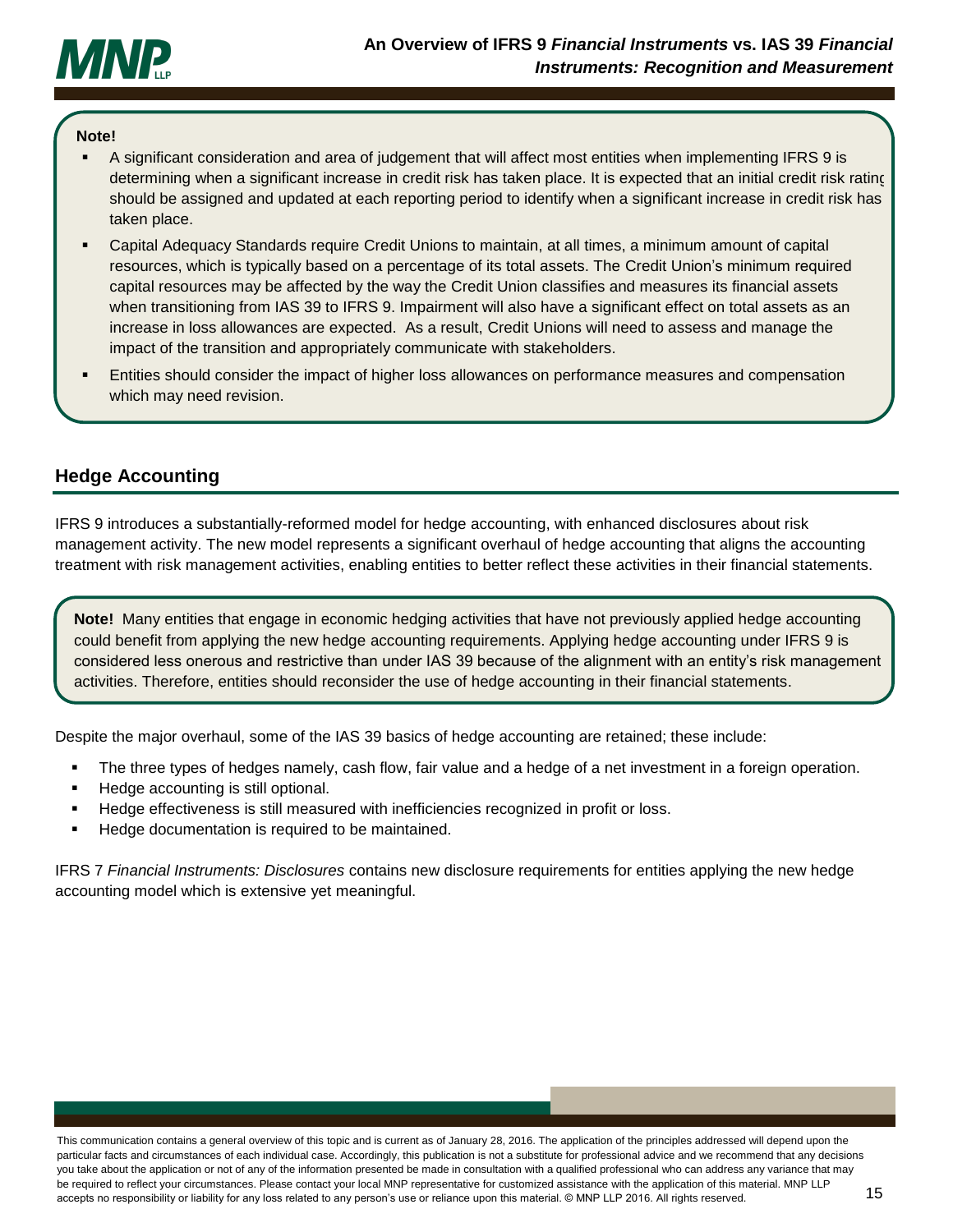

#### **Note!**

- A significant consideration and area of judgement that will affect most entities when implementing IFRS 9 is determining when a significant increase in credit risk has taken place. It is expected that an initial credit risk rating should be assigned and updated at each reporting period to identify when a significant increase in credit risk has taken place.
- Capital Adequacy Standards require Credit Unions to maintain, at all times, a minimum amount of capital resources, which is typically based on a percentage of its total assets. The Credit Union's minimum required capital resources may be affected by the way the Credit Union classifies and measures its financial assets when transitioning from IAS 39 to IFRS 9. Impairment will also have a significant effect on total assets as an increase in loss allowances are expected. As a result, Credit Unions will need to assess and manage the impact of the transition and appropriately communicate with stakeholders.
- Entities should consider the impact of higher loss allowances on performance measures and compensation which may need revision.

## <span id="page-15-0"></span>**Hedge Accounting**

IFRS 9 introduces a substantially-reformed model for hedge accounting, with enhanced disclosures about risk management activity. The new model represents a significant overhaul of hedge accounting that aligns the accounting treatment with risk management activities, enabling entities to better reflect these activities in their financial statements.

**Note!** Many entities that engage in economic hedging activities that have not previously applied hedge accounting could benefit from applying the new hedge accounting requirements. Applying hedge accounting under IFRS 9 is considered less onerous and restrictive than under IAS 39 because of the alignment with an entity's risk management activities. Therefore, entities should reconsider the use of hedge accounting in their financial statements.

Despite the major overhaul, some of the IAS 39 basics of hedge accounting are retained; these include:

- The three types of hedges namely, cash flow, fair value and a hedge of a net investment in a foreign operation.
- Hedge accounting is still optional.
- Hedge effectiveness is still measured with inefficiencies recognized in profit or loss.
- Hedge documentation is required to be maintained.

IFRS 7 *Financial Instruments: Disclosures* contains new disclosure requirements for entities applying the new hedge accounting model which is extensive yet meaningful.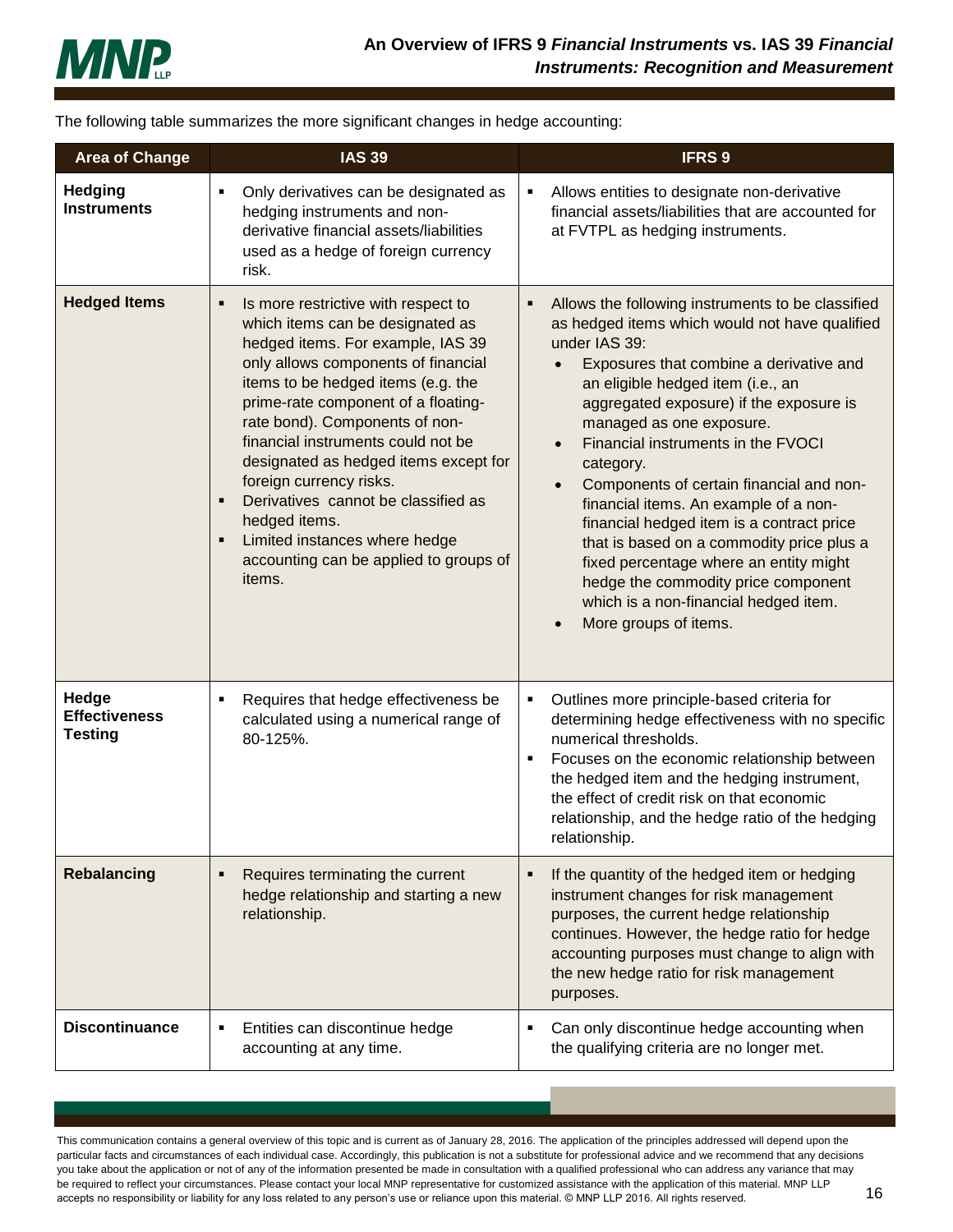

The following table summarizes the more significant changes in hedge accounting:

| <b>Area of Change</b>                           | <b>IAS 39</b>                                                                                                                                                                                                                                                                                                                                                                                                                                                                                                                  | <b>IFRS 9</b>                                                                                                                                                                                                                                                                                                                                                                                                                                                                                                                                                                                                                                                                      |
|-------------------------------------------------|--------------------------------------------------------------------------------------------------------------------------------------------------------------------------------------------------------------------------------------------------------------------------------------------------------------------------------------------------------------------------------------------------------------------------------------------------------------------------------------------------------------------------------|------------------------------------------------------------------------------------------------------------------------------------------------------------------------------------------------------------------------------------------------------------------------------------------------------------------------------------------------------------------------------------------------------------------------------------------------------------------------------------------------------------------------------------------------------------------------------------------------------------------------------------------------------------------------------------|
| <b>Hedging</b><br><b>Instruments</b>            | Only derivatives can be designated as<br>hedging instruments and non-<br>derivative financial assets/liabilities<br>used as a hedge of foreign currency<br>risk.                                                                                                                                                                                                                                                                                                                                                               | Allows entities to designate non-derivative<br>Е<br>financial assets/liabilities that are accounted for<br>at FVTPL as hedging instruments.                                                                                                                                                                                                                                                                                                                                                                                                                                                                                                                                        |
| <b>Hedged Items</b>                             | Is more restrictive with respect to<br>which items can be designated as<br>hedged items. For example, IAS 39<br>only allows components of financial<br>items to be hedged items (e.g. the<br>prime-rate component of a floating-<br>rate bond). Components of non-<br>financial instruments could not be<br>designated as hedged items except for<br>foreign currency risks.<br>Derivatives cannot be classified as<br>٠<br>hedged items.<br>Limited instances where hedge<br>accounting can be applied to groups of<br>items. | Allows the following instruments to be classified<br>Е<br>as hedged items which would not have qualified<br>under IAS 39:<br>Exposures that combine a derivative and<br>an eligible hedged item (i.e., an<br>aggregated exposure) if the exposure is<br>managed as one exposure.<br>Financial instruments in the FVOCI<br>$\bullet$<br>category.<br>Components of certain financial and non-<br>financial items. An example of a non-<br>financial hedged item is a contract price<br>that is based on a commodity price plus a<br>fixed percentage where an entity might<br>hedge the commodity price component<br>which is a non-financial hedged item.<br>More groups of items. |
| Hedge<br><b>Effectiveness</b><br><b>Testing</b> | Requires that hedge effectiveness be<br>п<br>calculated using a numerical range of<br>80-125%.                                                                                                                                                                                                                                                                                                                                                                                                                                 | Outlines more principle-based criteria for<br>٠<br>determining hedge effectiveness with no specific<br>numerical thresholds.<br>Focuses on the economic relationship between<br>п<br>the hedged item and the hedging instrument,<br>the effect of credit risk on that economic<br>relationship, and the hedge ratio of the hedging<br>relationship.                                                                                                                                                                                                                                                                                                                                |
| <b>Rebalancing</b>                              | Requires terminating the current<br>hedge relationship and starting a new<br>relationship.                                                                                                                                                                                                                                                                                                                                                                                                                                     | If the quantity of the hedged item or hedging<br>Е<br>instrument changes for risk management<br>purposes, the current hedge relationship<br>continues. However, the hedge ratio for hedge<br>accounting purposes must change to align with<br>the new hedge ratio for risk management<br>purposes.                                                                                                                                                                                                                                                                                                                                                                                 |
| <b>Discontinuance</b>                           | Entities can discontinue hedge<br>٠<br>accounting at any time.                                                                                                                                                                                                                                                                                                                                                                                                                                                                 | Can only discontinue hedge accounting when<br>Е<br>the qualifying criteria are no longer met.                                                                                                                                                                                                                                                                                                                                                                                                                                                                                                                                                                                      |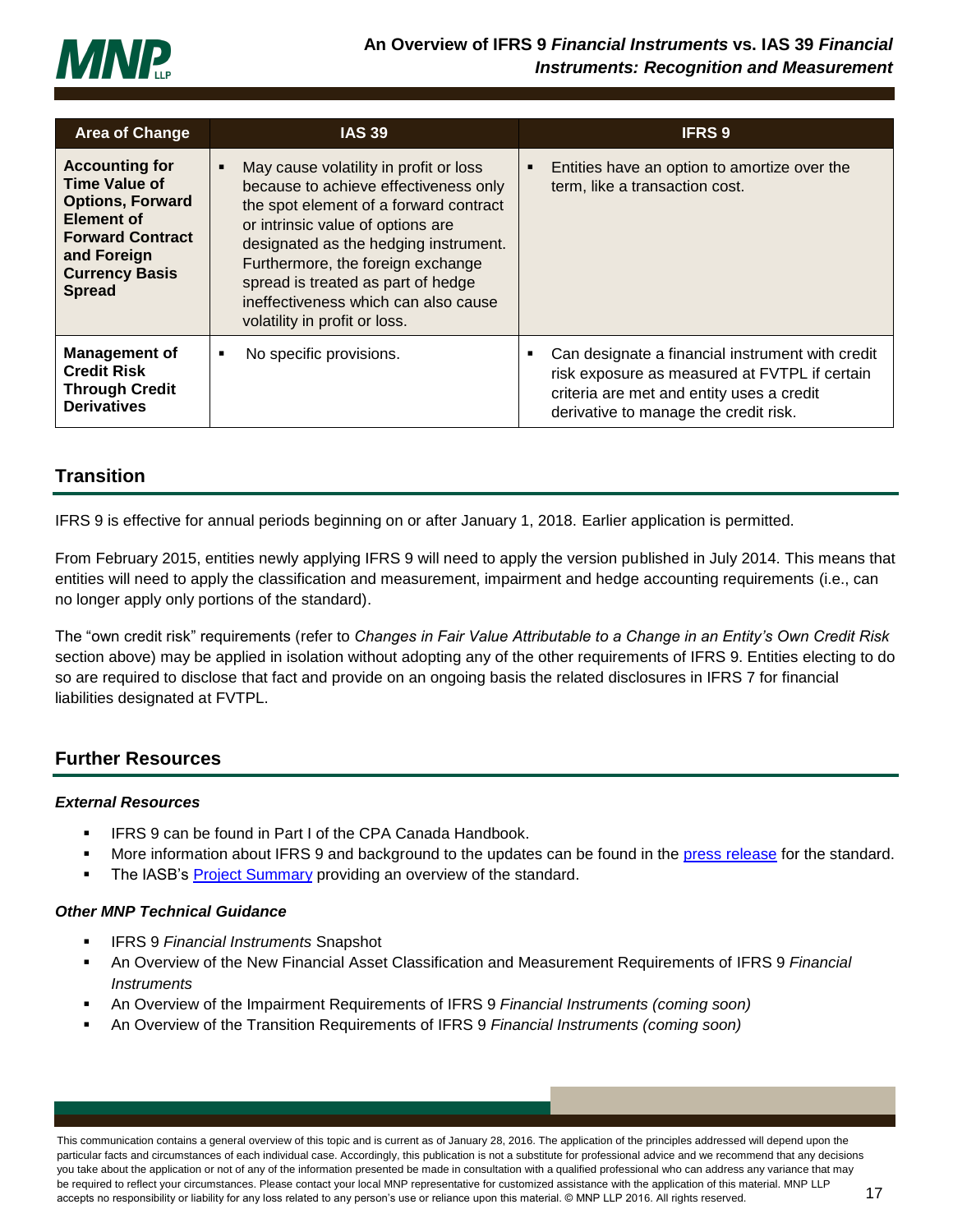

| <b>Area of Change</b>                                                                                                                                                      | <b>IAS 39</b>                                                                                                                                                                                                                                                                                                                                               | <b>IFRS 9</b>                                                                                                                                                                                |
|----------------------------------------------------------------------------------------------------------------------------------------------------------------------------|-------------------------------------------------------------------------------------------------------------------------------------------------------------------------------------------------------------------------------------------------------------------------------------------------------------------------------------------------------------|----------------------------------------------------------------------------------------------------------------------------------------------------------------------------------------------|
| <b>Accounting for</b><br><b>Time Value of</b><br><b>Options, Forward</b><br>Element of<br><b>Forward Contract</b><br>and Foreign<br><b>Currency Basis</b><br><b>Spread</b> | May cause volatility in profit or loss<br>because to achieve effectiveness only<br>the spot element of a forward contract<br>or intrinsic value of options are<br>designated as the hedging instrument.<br>Furthermore, the foreign exchange<br>spread is treated as part of hedge<br>ineffectiveness which can also cause<br>volatility in profit or loss. | Entities have an option to amortize over the<br>٠<br>term, like a transaction cost.                                                                                                          |
| <b>Management of</b><br><b>Credit Risk</b><br><b>Through Credit</b><br><b>Derivatives</b>                                                                                  | No specific provisions.                                                                                                                                                                                                                                                                                                                                     | Can designate a financial instrument with credit<br>٠<br>risk exposure as measured at FVTPL if certain<br>criteria are met and entity uses a credit<br>derivative to manage the credit risk. |

## <span id="page-17-0"></span>**Transition**

IFRS 9 is effective for annual periods beginning on or after January 1, 2018. Earlier application is permitted.

From February 2015, entities newly applying IFRS 9 will need to apply the version published in July 2014. This means that entities will need to apply the classification and measurement, impairment and hedge accounting requirements (i.e., can no longer apply only portions of the standard).

The "own credit risk" requirements (refer to *Changes in Fair Value Attributable to a Change in an Entity's Own Credit Risk* section above) may be applied in isolation without adopting any of the other requirements of IFRS 9. Entities electing to do so are required to disclose that fact and provide on an ongoing basis the related disclosures in IFRS 7 for financial liabilities designated at FVTPL.

# <span id="page-17-1"></span>**Further Resources**

### *External Resources*

- **IFRS 9 can be found in Part I of the CPA Canada Handbook.**
- More information about IFRS 9 and background to the updates can be found in the [press release](http://www.ifrs.org/Alerts/PressRelease/Pages/IASB-completes-reform-of-financial-instruments-accounting-July-2014.aspx) for the standard.
- **The IASB's [Project Summary](http://www.ifrs.org/Current-Projects/IASB-Projects/Financial-Instruments-A-Replacement-of-IAS-39-Financial-Instruments-Recognitio/Documents/IFRS-9-Project-Summary-July-2014.pdf) providing an overview of the standard.**

### *Other MNP Technical Guidance*

- IFRS 9 *Financial Instruments* Snapshot
- An Overview of the New Financial Asset Classification and Measurement Requirements of IFRS 9 *Financial Instruments*
- An Overview of the Impairment Requirements of IFRS 9 *Financial Instruments (coming soon)*
- An Overview of the Transition Requirements of IFRS 9 *Financial Instruments (coming soon)*